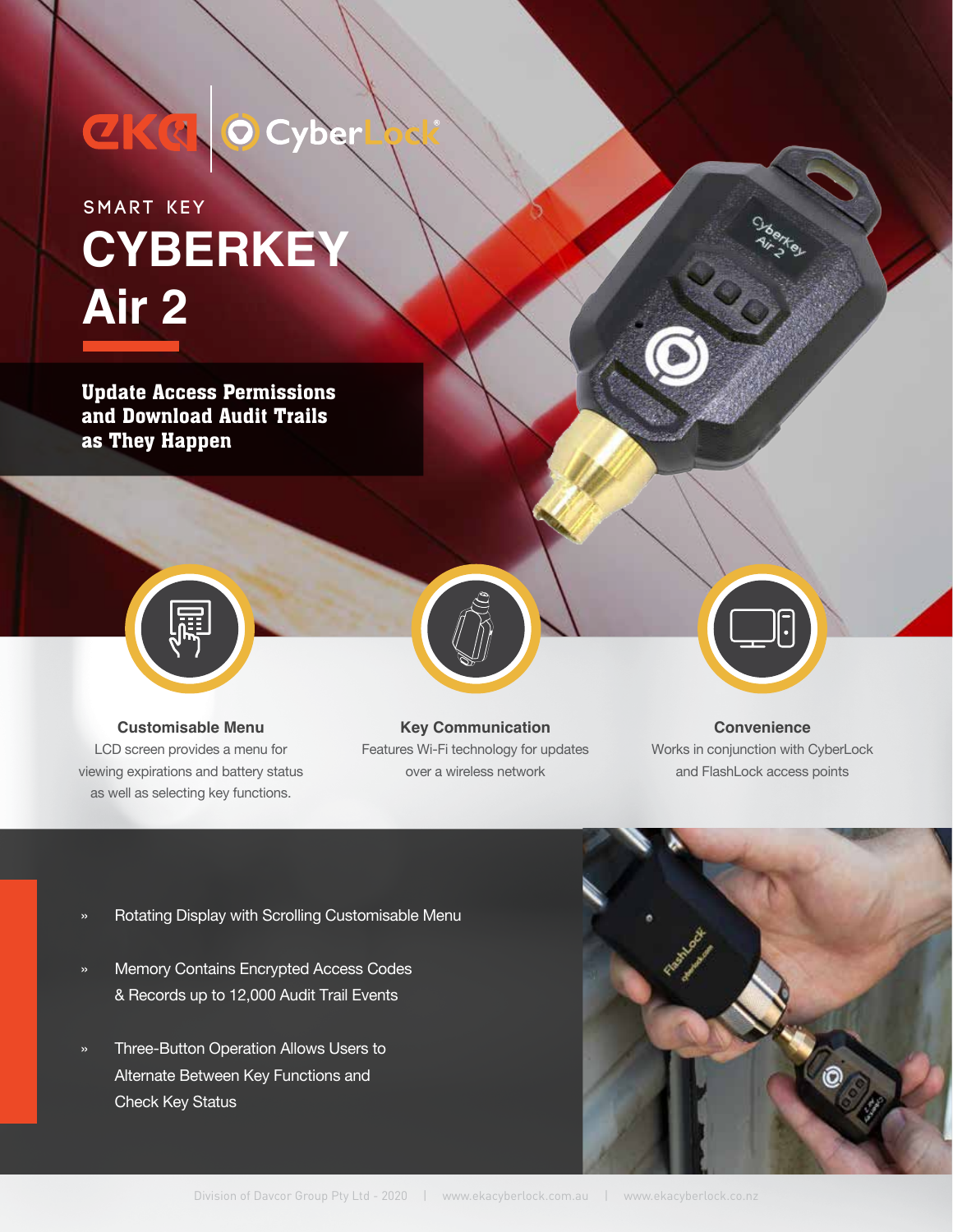# CKQ OCyb

### **CYBERKEY Air 2 SMART KEY**

Update Access Permissions and Download Audit Trails as They Happen



**Customisable Menu** LCD screen provides a menu for viewing expirations and battery status as well as selecting key functions.

### **Key Communication** Features Wi-Fi technology for updates over a wireless network

#### **Convenience**

Works in conjunction with CyberLock and FlashLock access points

- Rotating Display with Scrolling Customisable Menu »
- Memory Contains Encrypted Access Codes & Records up to 12,000 Audit Trail Events »
- Three-Button Operation Allows Users to Alternate Between Key Functions and Check Key Status »